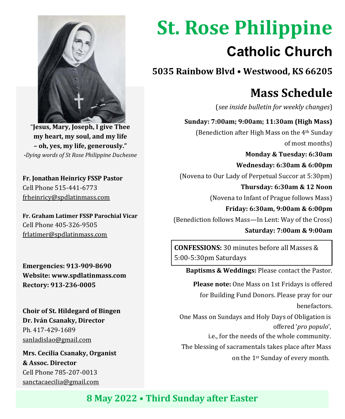

"**Jesus, Mary, Joseph, I give Thee my heart, my soul, and my life – oh, yes, my life, generously."**  *-Dying words of St Rose Philippine Duchesne*

**Fr. Jonathan Heinricy FSSP Pastor** Cell Phone 515-441-6773 frheinricy@spdlatinmass.com

**Fr. Graham Latimer FSSP Parochial Vicar** Cell Phone 405-326-9505 frlatimer@spdlatinmass.com

**Emergencies: 913-909-8690 Website[: www.spdlatinmass.com](http://www.spdlatinmass.com/) Rectory: 913-236-0005**

**Choir of St. Hildegard of Bingen Dr. Iván Csanaky, Director** Ph. 417-429-1689 [sanladislao@gmail.com](mailto:sanladislao@gmail.com)

**Mrs. Cecilia Csanaky, Organist & Assoc. Director**  Cell Phone 785-207-0013 sanctacaecilia@gmail.com

# **St. Rose Philippine Catholic Church**

**5035 Rainbow Blvd** • **Westwood, KS 66205**

## **Mass Schedule**

(*see inside bulletin for weekly changes*)

 **Sunday: 7:00am; 9:00am; 11:30am (High Mass)** (Benediction after High Mass on the 4th Sunday of most months)

 **Monday & Tuesday: 6:30am Wednesday: 6:30am & 6:00pm** (Novena to Our Lady of Perpetual Succor at 5:30pm)  **Thursday: 6:30am & 12 Noon**

(Novena to Infant of Prague follows Mass)

 **Friday: 6:30am, 9:00am & 6:00pm** (Benediction follows Mass—In Lent: Way of the Cross)

 **Saturday: 7:00am & 9:00am**

**CONFESSIONS:** 30 minutes before all Masses & 5:00-5:30pm Saturdays

 **Baptisms & Weddings:** Please contact the Pastor.

 **Please note:** One Mass on 1st Fridays is offered for Building Fund Donors. Please pray for our benefactors.

 One Mass on Sundays and Holy Days of Obligation is offered '*pro populo*',

i.e., for the needs of the whole community.

The blessing of sacramentals takes place after Mass

on the 1st Sunday of every month.

**8 May 2022** • **Third Sunday after Easter**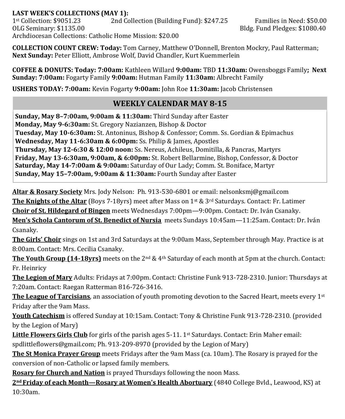#### **LAST WEEK'S COLLECTIONS (MAY 1):**

1st Collection: \$9051.23 2nd Collection (Building Fund): \$247.25 Families in Need: \$50.00 OLG Seminary: \$1135.00 **Bldg. Fund Pledges: \$1080.40** Bldg. Fund Pledges: \$1080.40 Archdiocesan Collections: Catholic Home Mission: \$20.00

**COLLECTION COUNT CREW: Today:** Tom Carney, Matthew O'Donnell, Brenton Mockry, Paul Ratterman; **Next Sunday:** Peter Elliott, Ambrose Wolf, David Chandler, Kurt Kuemmerlein

**COFFEE & DONUTS: Today: 7:00am:** Kathleen Willard **9:00am:** TBD **11:30am:** Owensboggs Family**; Next Sunday: 7:00am:** Fogarty Family **9:00am:** Hutman Family **11:30am:** Albrecht Family

**USHERS TODAY: 7:00am:** Kevin Fogarty **9:00am:** John Roe **11:30am:** Jacob Christensen

### **WEEKLY CALENDAR MAY 8-15**

**Sunday, May 8–7:00am, 9:00am & 11:30am:** Third Sunday after Easter **Monday, May 9-6:30am:** St. Gregory Nazianzen, Bishop & Doctor **Tuesday, May 10-6:30am:** St. Antoninus, Bishop & Confessor; Comm. Ss. Gordian & Epimachus **Wednesday, May 11-6:30am & 6:00pm:** Ss. Philip & James, Apostles **Thursday, May 12-6:30 & 12:00 noon:** Ss. Nereus, Achileus, Domitilla, & Pancras, Martyrs **Friday, May 13-6:30am, 9:00am, & 6:00pm:** St. Robert Bellarmine, Bishop, Confessor, & Doctor **Saturday, May 14-7:00am & 9:00am:** Saturday of Our Lady; Comm. St. Boniface, Martyr **Sunday, May 15–7:00am, 9:00am & 11:30am:** Fourth Sunday after Easter

**Altar & Rosary Society** Mrs. Jody Nelson: Ph. 913-530-6801 or email: nelsonksmj@gmail.com **The Knights of the Altar** (Boys 7-18yrs) meet after Mass on 1st & 3rd Saturdays. Contact: Fr. Latimer **Choir of St. Hildegard of Bingen** meets Wednesdays 7:00pm—9:00pm. Contact: Dr. Iván Csanaky. **Men's Schola Cantorum of St. Benedict of Nursia** meets Sundays 10:45am—11:25am. Contact: Dr. Iván Csanaky.

**The Girls' Choir** sings on 1st and 3rd Saturdays at the 9:00am Mass, September through May. Practice is at 8:00am. Contact: Mrs. Cecilia Csanaky.

**The Youth Group (14-18yrs)** meets on the 2<sup>nd</sup> & 4<sup>th</sup> Saturday of each month at 5pm at the church. Contact: Fr. Heinricy

**The Legion of Mary** Adults: Fridays at 7:00pm. Contact: Christine Funk 913-728-2310. Junior: Thursdays at 7:20am. Contact: Raegan Ratterman 816-726-3416.

**The League of Tarcisians**, an association of youth promoting devotion to the Sacred Heart, meets every 1st Friday after the 9am Mass.

**Youth Catechism** is offered Sunday at 10:15am. Contact: Tony & Christine Funk 913-728-2310. (provided by the Legion of Mary)

Little Flowers Girls Club for girls of the parish ages 5-11. 1<sup>st</sup> Saturdays. Contact: Erin Maher email:

spdlittleflowers@gmail.com; Ph. 913-209-8970 (provided by the Legion of Mary)

**The St Monica Prayer Group** meets Fridays after the 9am Mass (ca. 10am). The Rosary is prayed for the conversion of non-Catholic or lapsed family members.

**Rosary for Church and Nation** is prayed Thursdays following the noon Mass.

**2nd Friday of each Month—Rosary at Women's Health Abortuary** (4840 College Bvld., Leawood, KS) at 10:30am.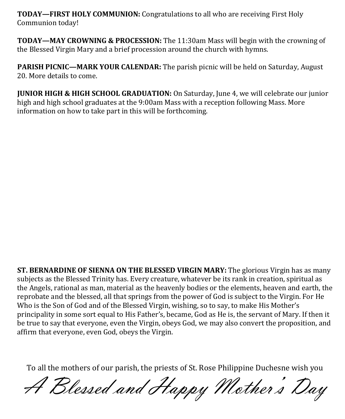**TODAY—FIRST HOLY COMMUNION:** Congratulations to all who are receiving First Holy Communion today!

**TODAY—MAY CROWNING & PROCESSION:** The 11:30am Mass will begin with the crowning of the Blessed Virgin Mary and a brief procession around the church with hymns.

**PARISH PICNIC—MARK YOUR CALENDAR:** The parish picnic will be held on Saturday, August 20. More details to come.

**JUNIOR HIGH & HIGH SCHOOL GRADUATION:** On Saturday, June 4, we will celebrate our junior high and high school graduates at the 9:00am Mass with a reception following Mass. More information on how to take part in this will be forthcoming.

**ST. BERNARDINE OF SIENNA ON THE BLESSED VIRGIN MARY:** The glorious Virgin has as many subjects as the Blessed Trinity has. Every creature, whatever be its rank in creation, spiritual as the Angels, rational as man, material as the heavenly bodies or the elements, heaven and earth, the reprobate and the blessed, all that springs from the power of God is subject to the Virgin. For He Who is the Son of God and of the Blessed Virgin, wishing, so to say, to make His Mother's principality in some sort equal to His Father's, became, God as He is, the servant of Mary. If then it be true to say that everyone, even the Virgin, obeys God, we may also convert the proposition, and affirm that everyone, even God, obeys the Virgin.

To all the mothers of our parish, the priests of St. Rose Philippine Duchesne wish you

A Blessed and Happy Mother' s Day